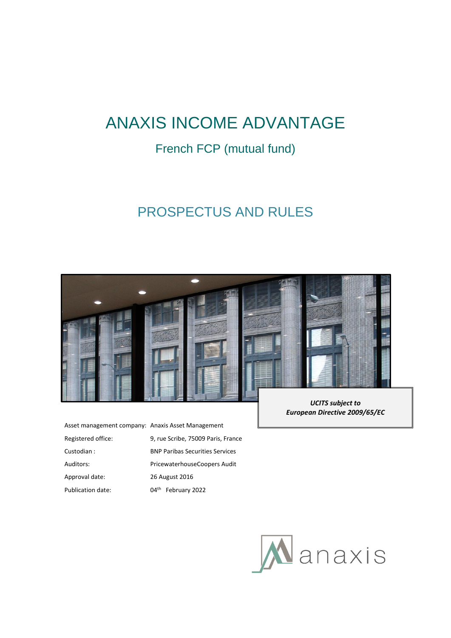# ANAXIS INCOME ADVANTAGE

## French FCP (mutual fund)

## PROSPECTUS AND RULES



| Asset management company: Anaxis Asset Management |                                        |
|---------------------------------------------------|----------------------------------------|
| Registered office:                                | 9, rue Scribe, 75009 Paris, France     |
| Custodian:                                        | <b>BNP Paribas Securities Services</b> |
| Auditors:                                         | PricewaterhouseCoopers Audit           |
| Approval date:                                    | 26 August 2016                         |
| <b>Publication date:</b>                          | February 2022<br>$04^{\text{th}}$      |

*UCITS subject to European Directive 2009/65/EC*

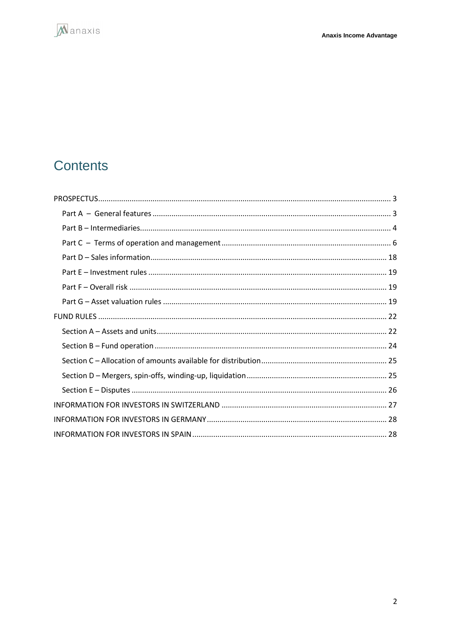

## Contents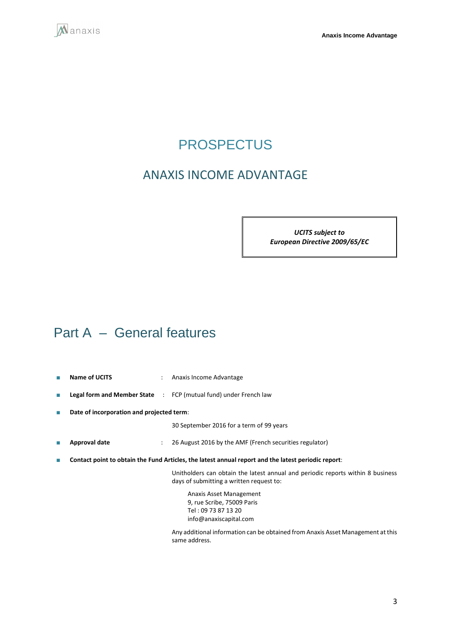<span id="page-2-0"></span>

## **PROSPECTUS**

## ANAXIS INCOME ADVANTAGE

*UCITS subject to European Directive 2009/65/EC*

## <span id="page-2-1"></span>Part A – General features

- **Name of UCITS** : Anaxis Income Advantage
- **Legal form and Member State** : FCP (mutual fund) under French law
- **Date of incorporation and projected term**:

30 September 2016 for a term of 99 years

- **Approval date** : 26 August 2016 by the AMF (French securities regulator)
- **Contact point to obtain the Fund Articles, the latest annual report and the latest periodic report**:

Unitholders can obtain the latest annual and periodic reports within 8 business days of submitting a written request to:

Anaxis Asset Management 9, rue Scribe, 75009 Paris Tel : 09 73 87 13 20 info@anaxiscapital.com

Any additional information can be obtained from Anaxis Asset Management at this same address.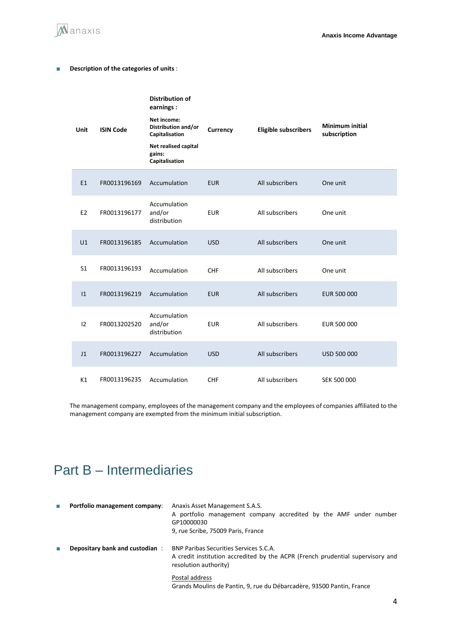

### ■ **Description of the categories of units** :

| Unit           | <b>ISIN Code</b> | <b>Distribution of</b><br>earnings :<br>Net income:<br>Distribution and/or<br>Capitalisation<br>Net realised capital<br>gains:<br>Capitalisation | Currency   | <b>Eligible subscribers</b> | Minimum initial<br>subscription |
|----------------|------------------|--------------------------------------------------------------------------------------------------------------------------------------------------|------------|-----------------------------|---------------------------------|
| E1             | FR0013196169     | Accumulation                                                                                                                                     | <b>EUR</b> | All subscribers             | One unit                        |
| E <sub>2</sub> | FR0013196177     | Accumulation<br>and/or<br>distribution<br>Accumulation<br>Accumulation<br>Accumulation                                                           | <b>EUR</b> | All subscribers             | One unit                        |
| U1             | FR0013196185     |                                                                                                                                                  | <b>USD</b> | All subscribers             | One unit                        |
| S <sub>1</sub> | FR0013196193     |                                                                                                                                                  | <b>CHF</b> | All subscribers             | One unit                        |
| 1              | FR0013196219     |                                                                                                                                                  | <b>EUR</b> | All subscribers             | EUR 500 000                     |
| 12             | FR0013202520     | Accumulation<br>and/or<br>distribution                                                                                                           | <b>EUR</b> | All subscribers             | EUR 500 000                     |
| J <sub>1</sub> | FR0013196227     | Accumulation                                                                                                                                     | <b>USD</b> | All subscribers             | USD 500 000                     |
| K1             | FR0013196235     | Accumulation                                                                                                                                     | <b>CHF</b> | All subscribers             | SEK 500 000                     |

The management company, employees of the management company and the employees of companies affiliated to the management company are exempted from the minimum initial subscription.

## <span id="page-3-0"></span>Part B – Intermediaries

| <b>The Second</b> | Portfolio management company:  | Anaxis Asset Management S.A.S.<br>A portfolio management company accredited by the AMF under number<br>GP10000030<br>9, rue Scribe, 75009 Paris, France  |  |  |
|-------------------|--------------------------------|----------------------------------------------------------------------------------------------------------------------------------------------------------|--|--|
|                   | Depositary bank and custodian: | <b>BNP Paribas Securities Services S.C.A.</b><br>A credit institution accredited by the ACPR (French prudential supervisory and<br>resolution authority) |  |  |
|                   |                                | Postal address<br>Grands Moulins de Pantin, 9, rue du Débarcadère, 93500 Pantin, France                                                                  |  |  |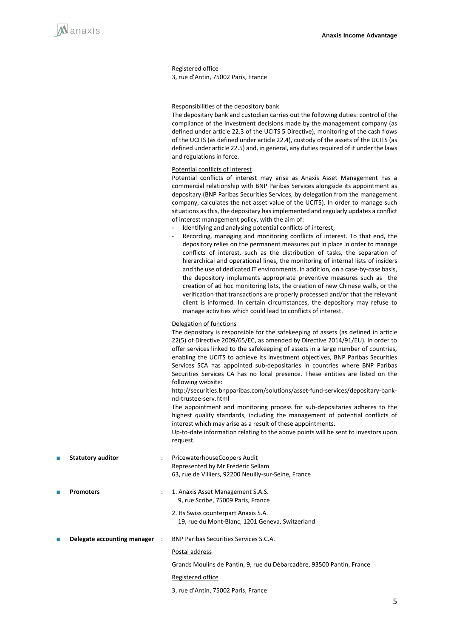

#### Registered office

3, rue d'Antin, 75002 Paris, France

#### Responsibilities of the depository bank

The depositary bank and custodian carries out the following duties: control of the compliance of the investment decisions made by the management company (as defined under article 22.3 of the UCITS 5 Directive), monitoring of the cash flows of the UCITS (as defined under article 22.4), custody of the assets of the UCITS (as defined under article 22.5) and, in general, any duties required of it under the laws and regulations in force.

#### Potential conflicts of interest

Potential conflicts of interest may arise as Anaxis Asset Management has a commercial relationship with BNP Paribas Services alongside its appointment as depositary (BNP Paribas Securities Services, by delegation from the management company, calculates the net asset value of the UCITS). In order to manage such situations as this, the depositary has implemented and regularly updates a conflict of interest management policy, with the aim of:

- Identifying and analysing potential conflicts of interest;
- Recording, managing and monitoring conflicts of interest. To that end, the depository relies on the permanent measures put in place in order to manage conflicts of interest, such as the distribution of tasks, the separation of hierarchical and operational lines, the monitoring of internal lists of insiders and the use of dedicated IT environments. In addition, on a case-by-case basis, the depository implements appropriate preventive measures such as the creation of ad hoc monitoring lists, the creation of new Chinese walls, or the verification that transactions are properly processed and/or that the relevant client is informed. In certain circumstances, the depository may refuse to manage activities which could lead to conflicts of interest.

#### Delegation of functions

|   |                               |                      | The depositary is responsible for the safekeeping of assets (as defined in article<br>22(5) of Directive 2009/65/EC, as amended by Directive 2014/91/EU). In order to<br>offer services linked to the safekeeping of assets in a large number of countries,<br>enabling the UCITS to achieve its investment objectives, BNP Paribas Securities<br>Services SCA has appointed sub-depositaries in countries where BNP Paribas<br>Securities Services CA has no local presence. These entities are listed on the<br>following website:<br>http://securities.bnpparibas.com/solutions/asset-fund-services/depositary-bank-<br>nd-trustee-serv.html<br>The appointment and monitoring process for sub-depositaries adheres to the<br>highest quality standards, including the management of potential conflicts of<br>interest which may arise as a result of these appointments.<br>Up-to-date information relating to the above points will be sent to investors upon<br>request. |
|---|-------------------------------|----------------------|---------------------------------------------------------------------------------------------------------------------------------------------------------------------------------------------------------------------------------------------------------------------------------------------------------------------------------------------------------------------------------------------------------------------------------------------------------------------------------------------------------------------------------------------------------------------------------------------------------------------------------------------------------------------------------------------------------------------------------------------------------------------------------------------------------------------------------------------------------------------------------------------------------------------------------------------------------------------------------|
| П | <b>Statutory auditor</b>      | $\ddot{\phantom{a}}$ | PricewaterhouseCoopers Audit<br>Represented by Mr Frédéric Sellam<br>63, rue de Villiers, 92200 Neuilly-sur-Seine, France                                                                                                                                                                                                                                                                                                                                                                                                                                                                                                                                                                                                                                                                                                                                                                                                                                                       |
| П | <b>Promoters</b>              |                      | 1. Anaxis Asset Management S.A.S.<br>9, rue Scribe, 75009 Paris, France                                                                                                                                                                                                                                                                                                                                                                                                                                                                                                                                                                                                                                                                                                                                                                                                                                                                                                         |
|   |                               |                      | 2. Its Swiss counterpart Anaxis S.A.<br>19, rue du Mont-Blanc, 1201 Geneva, Switzerland                                                                                                                                                                                                                                                                                                                                                                                                                                                                                                                                                                                                                                                                                                                                                                                                                                                                                         |
| П | Delegate accounting manager : |                      | <b>BNP Paribas Securities Services S.C.A.</b>                                                                                                                                                                                                                                                                                                                                                                                                                                                                                                                                                                                                                                                                                                                                                                                                                                                                                                                                   |
|   |                               |                      | Postal address                                                                                                                                                                                                                                                                                                                                                                                                                                                                                                                                                                                                                                                                                                                                                                                                                                                                                                                                                                  |
|   |                               |                      | Grands Moulins de Pantin, 9, rue du Débarcadère, 93500 Pantin, France                                                                                                                                                                                                                                                                                                                                                                                                                                                                                                                                                                                                                                                                                                                                                                                                                                                                                                           |
|   |                               |                      | Registered office                                                                                                                                                                                                                                                                                                                                                                                                                                                                                                                                                                                                                                                                                                                                                                                                                                                                                                                                                               |

3, rue d'Antin, 75002 Paris, France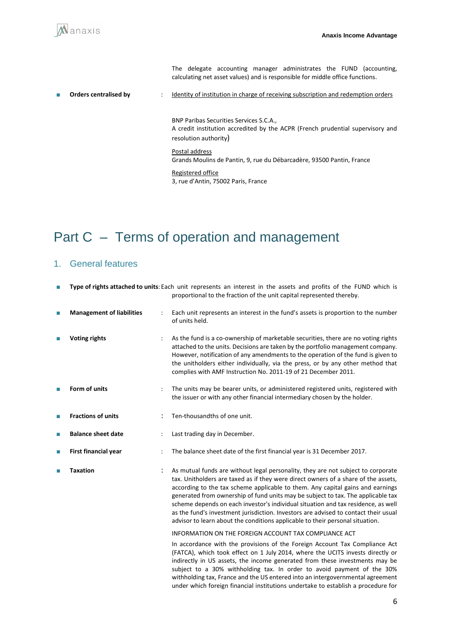The delegate accounting manager administrates the FUND (accounting, calculating net asset values) and is responsible for middle office functions.

■ **Orders centralised by** : Identity of institution in charge of receiving subscription and redemption orders

BNP Paribas Securities Services S.C.A., A credit institution accredited by the ACPR (French prudential supervisory and resolution authority)

#### Postal address

Grands Moulins de Pantin, 9, rue du Débarcadère, 93500 Pantin, France

Registered office 3, rue d'Antin, 75002 Paris, France

## <span id="page-5-0"></span>Part C – Terms of operation and management

### 1. General features

| П | Type of rights attached to units: Each unit represents an interest in the assets and profits of the FUND which is<br>proportional to the fraction of the unit capital represented thereby. |  |                                                                                                                                                                                                                                                                                                                                                                                                                                                                                                                                                                                                           |
|---|--------------------------------------------------------------------------------------------------------------------------------------------------------------------------------------------|--|-----------------------------------------------------------------------------------------------------------------------------------------------------------------------------------------------------------------------------------------------------------------------------------------------------------------------------------------------------------------------------------------------------------------------------------------------------------------------------------------------------------------------------------------------------------------------------------------------------------|
| П | <b>Management of liabilities</b>                                                                                                                                                           |  | Each unit represents an interest in the fund's assets is proportion to the number<br>of units held.                                                                                                                                                                                                                                                                                                                                                                                                                                                                                                       |
|   | <b>Voting rights</b>                                                                                                                                                                       |  | As the fund is a co-ownership of marketable securities, there are no voting rights<br>attached to the units. Decisions are taken by the portfolio management company.<br>However, notification of any amendments to the operation of the fund is given to<br>the unitholders either individually, via the press, or by any other method that<br>complies with AMF Instruction No. 2011-19 of 21 December 2011.                                                                                                                                                                                            |
|   | Form of units                                                                                                                                                                              |  | The units may be bearer units, or administered registered units, registered with<br>the issuer or with any other financial intermediary chosen by the holder.                                                                                                                                                                                                                                                                                                                                                                                                                                             |
| П | <b>Fractions of units</b>                                                                                                                                                                  |  | Ten-thousandths of one unit.                                                                                                                                                                                                                                                                                                                                                                                                                                                                                                                                                                              |
| П | <b>Balance sheet date</b>                                                                                                                                                                  |  | Last trading day in December.                                                                                                                                                                                                                                                                                                                                                                                                                                                                                                                                                                             |
| П | First financial year                                                                                                                                                                       |  | The balance sheet date of the first financial year is 31 December 2017.                                                                                                                                                                                                                                                                                                                                                                                                                                                                                                                                   |
|   | <b>Taxation</b>                                                                                                                                                                            |  | As mutual funds are without legal personality, they are not subject to corporate<br>tax. Unitholders are taxed as if they were direct owners of a share of the assets,<br>according to the tax scheme applicable to them. Any capital gains and earnings<br>generated from ownership of fund units may be subject to tax. The applicable tax<br>scheme depends on each investor's individual situation and tax residence, as well<br>as the fund's investment jurisdiction. Investors are advised to contact their usual<br>advisor to learn about the conditions applicable to their personal situation. |
|   |                                                                                                                                                                                            |  | INFORMATION ON THE FOREIGN ACCOUNT TAX COMPLIANCE ACT                                                                                                                                                                                                                                                                                                                                                                                                                                                                                                                                                     |
|   |                                                                                                                                                                                            |  | to cooperation of the state and the cooperation of the transfers which the most cooperation of the state when                                                                                                                                                                                                                                                                                                                                                                                                                                                                                             |

In accordance with the provisions of the Foreign Account Tax Compliance Act (FATCA), which took effect on 1 July 2014, where the UCITS invests directly or indirectly in US assets, the income generated from these investments may be subject to a 30% withholding tax. In order to avoid payment of the 30% withholding tax, France and the US entered into an intergovernmental agreement under which foreign financial institutions undertake to establish a procedure for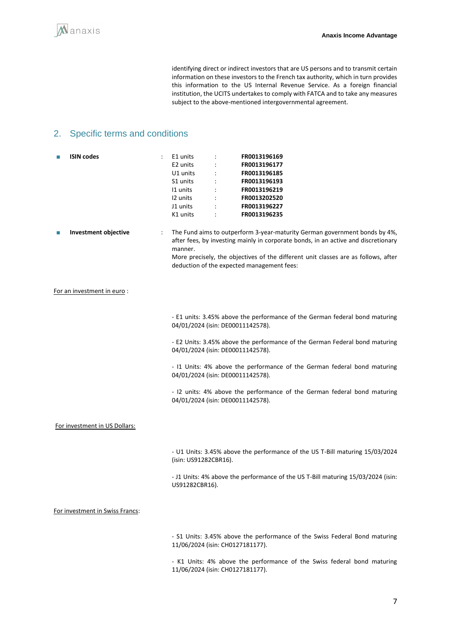identifying direct or indirect investors that are US persons and to transmit certain information on these investors to the French tax authority, which in turn provides this information to the US Internal Revenue Service. As a foreign financial institution, the UCITS undertakes to comply with FATCA and to take any measures subject to the above-mentioned intergovernmental agreement.

## 2. Specific terms and conditions

| <b>ISIN</b> codes               | E1 units<br>FR0013196169<br>E2 units<br>FR0013196177<br>U1 units<br>FR0013196185<br>S1 units<br>$\ddot{\cdot}$<br>FR0013196193<br>11 units<br>FR0013196219<br>12 units<br>FR0013202520<br>J1 units<br>FR0013196227<br>K1 units<br>FR0013196235                                                                       |
|---------------------------------|----------------------------------------------------------------------------------------------------------------------------------------------------------------------------------------------------------------------------------------------------------------------------------------------------------------------|
| Investment objective            | The Fund aims to outperform 3-year-maturity German government bonds by 4%,<br>÷<br>after fees, by investing mainly in corporate bonds, in an active and discretionary<br>manner.<br>More precisely, the objectives of the different unit classes are as follows, after<br>deduction of the expected management fees: |
| For an investment in euro:      |                                                                                                                                                                                                                                                                                                                      |
|                                 | - E1 units: 3.45% above the performance of the German federal bond maturing<br>04/01/2024 (isin: DE00011142578).                                                                                                                                                                                                     |
|                                 | - E2 Units: 3.45% above the performance of the German Federal bond maturing<br>04/01/2024 (isin: DE00011142578).                                                                                                                                                                                                     |
|                                 | - I1 Units: 4% above the performance of the German federal bond maturing<br>04/01/2024 (isin: DE00011142578).                                                                                                                                                                                                        |
|                                 | - I2 units: 4% above the performance of the German federal bond maturing<br>04/01/2024 (isin: DE00011142578).                                                                                                                                                                                                        |
| For investment in US Dollars:   |                                                                                                                                                                                                                                                                                                                      |
|                                 | - U1 Units: 3.45% above the performance of the US T-Bill maturing 15/03/2024<br>(isin: US91282CBR16).                                                                                                                                                                                                                |
|                                 | - J1 Units: 4% above the performance of the US T-Bill maturing 15/03/2024 (isin:<br>US91282CBR16).                                                                                                                                                                                                                   |
| For investment in Swiss Francs: |                                                                                                                                                                                                                                                                                                                      |
|                                 | - S1 Units: 3.45% above the performance of the Swiss Federal Bond maturing<br>11/06/2024 (isin: CH0127181177).                                                                                                                                                                                                       |

- K1 Units: 4% above the performance of the Swiss federal bond maturing 11/06/2024 (isin: CH0127181177).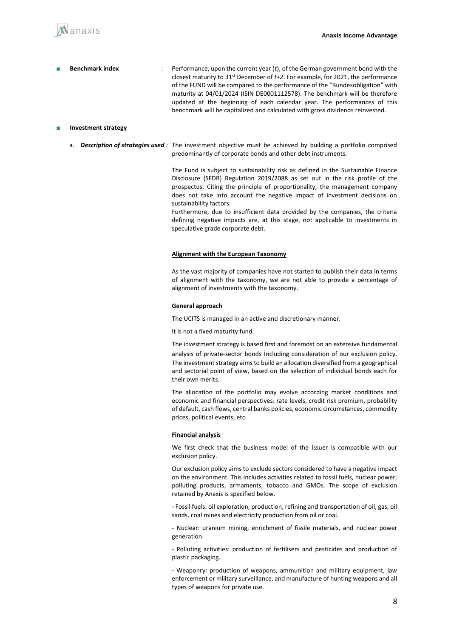

Benchmark index : Performance, upon the current year (*t*), of the German government bond with the closest maturity to 31st December of *t+2*. For example, for 2021, the performance of the FUND will be compared to the performance of the "Bundesobligation" with maturity at 04/01/2024 (ISIN DE0001112578). The benchmark will be therefore updated at the beginning of each calendar year. The performances of this benchmark will be capitalized and calculated with gross dividends reinvested.

#### ■ **Investment strategy**

a. *Description of strategies used :* The investment objective must be achieved by building a portfolio comprised predominantly of corporate bonds and other debt instruments.

> The Fund is subject to sustainability risk as defined in the Sustainable Finance Disclosure (SFDR) Regulation 2019/2088 as set out in the risk profile of the prospectus. Citing the principle of proportionality, the management company does not take into account the negative impact of investment decisions on sustainability factors.

> Furthermore, due to insufficient data provided by the companies, the criteria defining negative impacts are, at this stage, not applicable to investments in speculative grade corporate debt.

#### **Alignment with the European Taxonomy**

As the vast majority of companies have not started to publish their data in terms of alignment with the taxonomy, we are not able to provide a percentage of alignment of investments with the taxonomy.

#### **General approach**

The UCITS is managed in an active and discretionary manner.

It is not a fixed maturity fund.

The investment strategy is based first and foremost on an extensive fundamental analysis of private-sector bonds including consideration of our exclusion policy. The investment strategy aims to build an allocation diversified from a geographical and sectorial point of view, based on the selection of individual bonds each for their own merits.

The allocation of the portfolio may evolve according market conditions and economic and financial perspectives: rate levels, credit risk premium, probability of default, cash flows, central banks policies, economic circumstances, commodity prices, political events, etc.

#### **Financial analysis**

We first check that the business model of the issuer is compatible with our exclusion policy.

Our exclusion policy aims to exclude sectors considered to have a negative impact on the environment. This includes activities related to fossil fuels, nuclear power, polluting products, armaments, tobacco and GMOs. The scope of exclusion retained by Anaxis is specified below.

- Fossil fuels: oil exploration, production, refining and transportation of oil, gas, oil sands, coal mines and electricity production from oil or coal.

- Nuclear: uranium mining, enrichment of fissile materials, and nuclear power generation.

- Polluting activities: production of fertilisers and pesticides and production of plastic packaging.

- Weaponry: production of weapons, ammunition and military equipment, law enforcement or military surveillance, and manufacture of hunting weapons and all types of weapons for private use.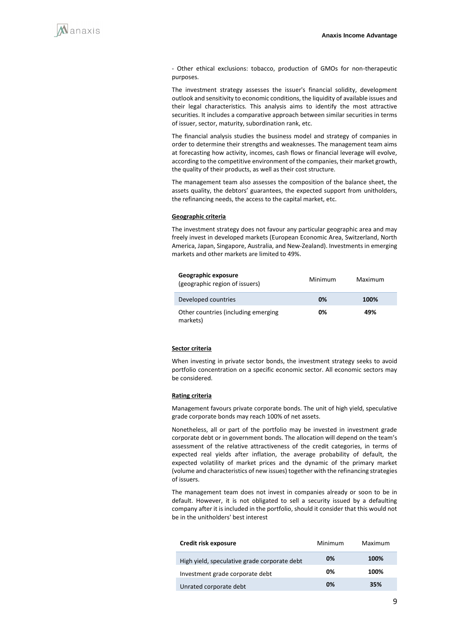

- Other ethical exclusions: tobacco, production of GMOs for non-therapeutic purposes.

The investment strategy assesses the issuer's financial solidity, development outlook and sensitivity to economic conditions, the liquidity of available issues and their legal characteristics. This analysis aims to identify the most attractive securities. It includes a comparative approach between similar securities in terms of issuer, sector, maturity, subordination rank, etc.

The financial analysis studies the business model and strategy of companies in order to determine their strengths and weaknesses. The management team aims at forecasting how activity, incomes, cash flows or financial leverage will evolve, according to the competitive environment of the companies, their market growth, the quality of their products, as well as their cost structure.

The management team also assesses the composition of the balance sheet, the assets quality, the debtors' guarantees, the expected support from unitholders, the refinancing needs, the access to the capital market, etc.

#### **Geographic criteria**

The investment strategy does not favour any particular geographic area and may freely invest in developed markets (European Economic Area, Switzerland, North America, Japan, Singapore, Australia, and New-Zealand). Investments in emerging markets and other markets are limited to 49%.

| Geographic exposure<br>(geographic region of issuers) | Minimum | Maximum |
|-------------------------------------------------------|---------|---------|
| Developed countries                                   | 0%      | 100%    |
| Other countries (including emerging<br>markets)       | 0%      | 49%     |

#### **Sector criteria**

When investing in private sector bonds, the investment strategy seeks to avoid portfolio concentration on a specific economic sector. All economic sectors may be considered.

#### **Rating criteria**

Management favours private corporate bonds. The unit of high yield, speculative grade corporate bonds may reach 100% of net assets.

Nonetheless, all or part of the portfolio may be invested in investment grade corporate debt or in government bonds. The allocation will depend on the team's assessment of the relative attractiveness of the credit categories, in terms of expected real yields after inflation, the average probability of default, the expected volatility of market prices and the dynamic of the primary market (volume and characteristics of new issues) together with the refinancing strategies of issuers.

The management team does not invest in companies already or soon to be in default. However, it is not obligated to sell a security issued by a defaulting company after it is included in the portfolio, should it consider that this would not be in the unitholders' best interest

| Credit risk exposure                         | Minimum | Maximum |
|----------------------------------------------|---------|---------|
| High yield, speculative grade corporate debt | 0%      | 100%    |
| Investment grade corporate debt              | 0%      | 100%    |
| Unrated corporate debt                       | 0%      | 35%     |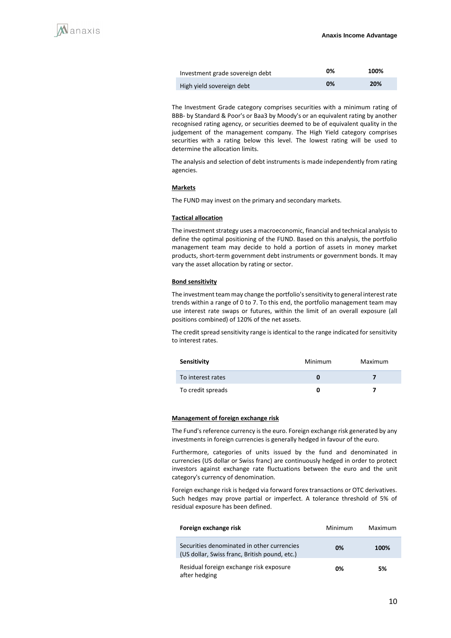| Investment grade sovereign debt | 0% | 100% |
|---------------------------------|----|------|
| High yield sovereign debt       | 0% | 20%  |

The Investment Grade category comprises securities with a minimum rating of BBB- by Standard & Poor's or Baa3 by Moody's or an equivalent rating by another recognised rating agency, or securities deemed to be of equivalent quality in the judgement of the management company. The High Yield category comprises securities with a rating below this level. The lowest rating will be used to determine the allocation limits.

The analysis and selection of debt instruments is made independently from rating agencies.

#### **Markets**

The FUND may invest on the primary and secondary markets.

#### **Tactical allocation**

The investment strategy uses a macroeconomic, financial and technical analysis to define the optimal positioning of the FUND. Based on this analysis, the portfolio management team may decide to hold a portion of assets in money market products, short-term government debt instruments or government bonds. It may vary the asset allocation by rating or sector.

#### **Bond sensitivity**

The investment team may change the portfolio's sensitivity to general interest rate trends within a range of 0 to 7. To this end, the portfolio management team may use interest rate swaps or futures, within the limit of an overall exposure (all positions combined) of 120% of the net assets.

The credit spread sensitivity range is identical to the range indicated for sensitivity to interest rates.

| Sensitivity       | Minimum | Maximum |
|-------------------|---------|---------|
| To interest rates |         |         |
| To credit spreads |         |         |

#### **Management of foreign exchange risk**

The Fund's reference currency is the euro. Foreign exchange risk generated by any investments in foreign currencies is generally hedged in favour of the euro.

Furthermore, categories of units issued by the fund and denominated in currencies (US dollar or Swiss franc) are continuously hedged in order to protect investors against exchange rate fluctuations between the euro and the unit category's currency of denomination.

Foreign exchange risk is hedged via forward forex transactions or OTC derivatives. Such hedges may prove partial or imperfect. A tolerance threshold of 5% of residual exposure has been defined.

| Foreign exchange risk                                                                       | Minimum | Maximum |
|---------------------------------------------------------------------------------------------|---------|---------|
| Securities denominated in other currencies<br>(US dollar, Swiss franc, British pound, etc.) | 0%      | 100%    |
| Residual foreign exchange risk exposure<br>after hedging                                    | 0%      | 5%      |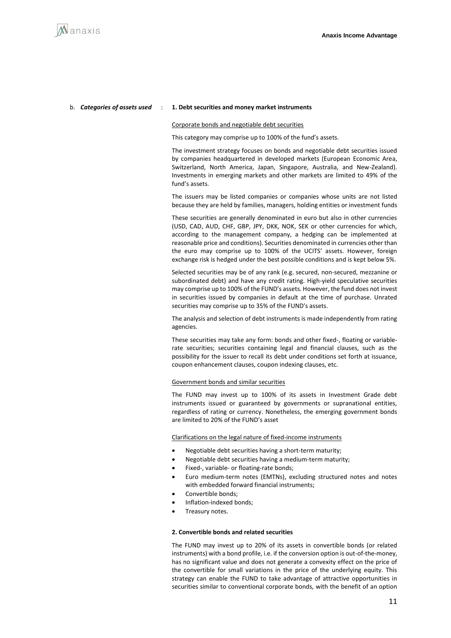

#### b. *Categories of assets used* : **1. Debt securities and money market instruments**

#### Corporate bonds and negotiable debt securities

This category may comprise up to 100% of the fund's assets.

The investment strategy focuses on bonds and negotiable debt securities issued by companies headquartered in developed markets (European Economic Area, Switzerland, North America, Japan, Singapore, Australia, and New-Zealand). Investments in emerging markets and other markets are limited to 49% of the fund's assets.

The issuers may be listed companies or companies whose units are not listed because they are held by families, managers, holding entities or investment funds

These securities are generally denominated in euro but also in other currencies (USD, CAD, AUD, CHF, GBP, JPY, DKK, NOK, SEK or other currencies for which, according to the management company, a hedging can be implemented at reasonable price and conditions). Securities denominated in currencies other than the euro may comprise up to 100% of the UCITS' assets. However, foreign exchange risk is hedged under the best possible conditions and is kept below 5%.

Selected securities may be of any rank (e.g. secured, non-secured, mezzanine or subordinated debt) and have any credit rating. High-yield speculative securities may comprise up to 100% of the FUND's assets. However, the fund does not invest in securities issued by companies in default at the time of purchase. Unrated securities may comprise up to 35% of the FUND's assets.

The analysis and selection of debt instruments is made independently from rating agencies.

These securities may take any form: bonds and other fixed-, floating or variablerate securities; securities containing legal and financial clauses, such as the possibility for the issuer to recall its debt under conditions set forth at issuance, coupon enhancement clauses, coupon indexing clauses, etc.

#### Government bonds and similar securities

The FUND may invest up to 100% of its assets in Investment Grade debt instruments issued or guaranteed by governments or supranational entities, regardless of rating or currency. Nonetheless, the emerging government bonds are limited to 20% of the FUND's asset

Clarifications on the legal nature of fixed-income instruments

- Negotiable debt securities having a short-term maturity;
- Negotiable debt securities having a medium-term maturity;
- Fixed-, variable- or floating-rate bonds;
- Euro medium-term notes (EMTNs), excluding structured notes and notes with embedded forward financial instruments;
- Convertible bonds;
- Inflation-indexed bonds;
- Treasury notes.

#### **2. Convertible bonds and related securities**

The FUND may invest up to 20% of its assets in convertible bonds (or related instruments) with a bond profile, i.e. if the conversion option is out-of-the-money, has no significant value and does not generate a convexity effect on the price of the convertible for small variations in the price of the underlying equity. This strategy can enable the FUND to take advantage of attractive opportunities in securities similar to conventional corporate bonds, with the benefit of an option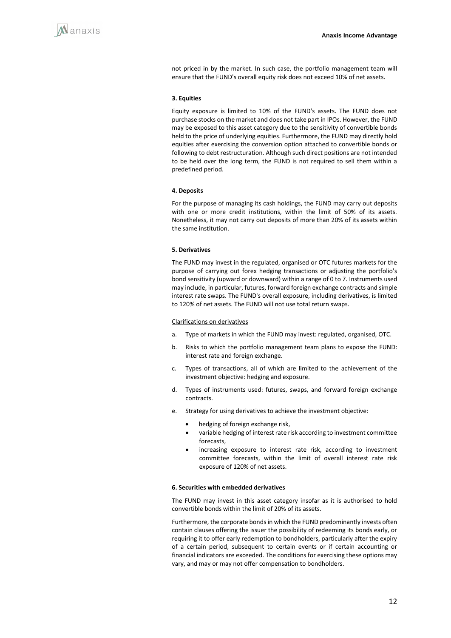not priced in by the market. In such case, the portfolio management team will ensure that the FUND's overall equity risk does not exceed 10% of net assets.

#### **3. Equities**

Equity exposure is limited to 10% of the FUND's assets. The FUND does not purchase stocks on the market and does not take part in IPOs. However, the FUND may be exposed to this asset category due to the sensitivity of convertible bonds held to the price of underlying equities. Furthermore, the FUND may directly hold equities after exercising the conversion option attached to convertible bonds or following to debt restructuration. Although such direct positions are not intended to be held over the long term, the FUND is not required to sell them within a predefined period.

#### **4. Deposits**

For the purpose of managing its cash holdings, the FUND may carry out deposits with one or more credit institutions, within the limit of 50% of its assets. Nonetheless, it may not carry out deposits of more than 20% of its assets within the same institution.

#### **5. Derivatives**

The FUND may invest in the regulated, organised or OTC futures markets for the purpose of carrying out forex hedging transactions or adjusting the portfolio's bond sensitivity (upward or downward) within a range of 0 to 7. Instruments used may include, in particular, futures, forward foreign exchange contracts and simple interest rate swaps. The FUND's overall exposure, including derivatives, is limited to 120% of net assets. The FUND will not use total return swaps.

#### Clarifications on derivatives

- a. Type of markets in which the FUND may invest: regulated, organised, OTC.
- b. Risks to which the portfolio management team plans to expose the FUND: interest rate and foreign exchange.
- c. Types of transactions, all of which are limited to the achievement of the investment objective: hedging and exposure.
- d. Types of instruments used: futures, swaps, and forward foreign exchange contracts.
- e. Strategy for using derivatives to achieve the investment objective:
	- hedging of foreign exchange risk,
	- variable hedging of interest rate risk according to investment committee forecasts,
	- increasing exposure to interest rate risk, according to investment committee forecasts, within the limit of overall interest rate risk exposure of 120% of net assets.

#### **6. Securities with embedded derivatives**

The FUND may invest in this asset category insofar as it is authorised to hold convertible bonds within the limit of 20% of its assets.

Furthermore, the corporate bonds in which the FUND predominantly invests often contain clauses offering the issuer the possibility of redeeming its bonds early, or requiring it to offer early redemption to bondholders, particularly after the expiry of a certain period, subsequent to certain events or if certain accounting or financial indicators are exceeded. The conditions for exercising these options may vary, and may or may not offer compensation to bondholders.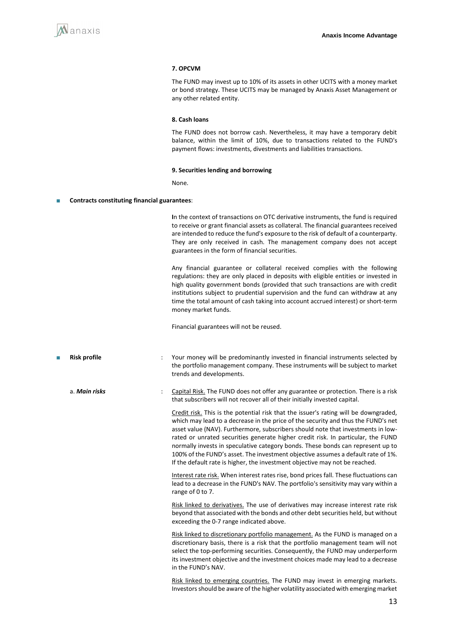

#### **7. OPCVM**

The FUND may invest up to 10% of its assets in other UCITS with a money market or bond strategy. These UCITS may be managed by Anaxis Asset Management or any other related entity.

#### **8. Cash loans**

The FUND does not borrow cash. Nevertheless, it may have a temporary debit balance, within the limit of 10%, due to transactions related to the FUND's payment flows: investments, divestments and liabilities transactions.

#### **9. Securities lending and borrowing**

None.

#### ■ **Contracts constituting financial guarantees**:

**I**n the context of transactions on OTC derivative instruments, the fund is required to receive or grant financial assets as collateral. The financial guarantees received are intended to reduce the fund's exposure to the risk of default of a counterparty. They are only received in cash. The management company does not accept guarantees in the form of financial securities.

Any financial guarantee or collateral received complies with the following regulations: they are only placed in deposits with eligible entities or invested in high quality government bonds (provided that such transactions are with credit institutions subject to prudential supervision and the fund can withdraw at any time the total amount of cash taking into account accrued interest) or short-term money market funds.

Financial guarantees will not be reused.

- **Risk profile** : Your money will be predominantly invested in financial instruments selected by the portfolio management company. These instruments will be subject to market trends and developments.
	- a. **Main risks** : Capital Risk. The FUND does not offer any guarantee or protection. There is a risk that subscribers will not recover all of their initially invested capital.

Credit risk. This is the potential risk that the issuer's rating will be downgraded, which may lead to a decrease in the price of the security and thus the FUND's net asset value (NAV). Furthermore, subscribers should note that investments in lowrated or unrated securities generate higher credit risk. In particular, the FUND normally invests in speculative category bonds. These bonds can represent up to 100% of the FUND's asset. The investment objective assumes a default rate of 1%. If the default rate is higher, the investment objective may not be reached.

Interest rate risk. When interest rates rise, bond prices fall. These fluctuations can lead to a decrease in the FUND's NAV. The portfolio's sensitivity may vary within a range of 0 to 7.

Risk linked to derivatives. The use of derivatives may increase interest rate risk beyond that associated with the bonds and other debt securities held, but without exceeding the 0-7 range indicated above.

Risk linked to discretionary portfolio management. As the FUND is managed on a discretionary basis, there is a risk that the portfolio management team will not select the top-performing securities. Consequently, the FUND may underperform its investment objective and the investment choices made may lead to a decrease in the FUND's NAV.

Risk linked to emerging countries. The FUND may invest in emerging markets. Investors should be aware of the higher volatility associated with emerging market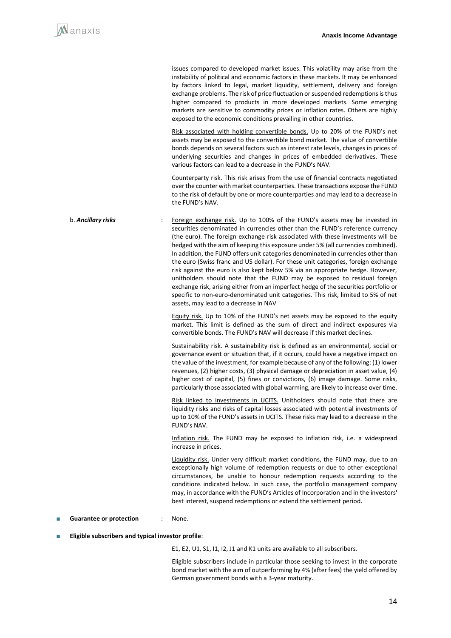issues compared to developed market issues. This volatility may arise from the instability of political and economic factors in these markets. It may be enhanced by factors linked to legal, market liquidity, settlement, delivery and foreign exchange problems. The risk of price fluctuation or suspended redemptions is thus higher compared to products in more developed markets. Some emerging markets are sensitive to commodity prices or inflation rates. Others are highly exposed to the economic conditions prevailing in other countries. Risk associated with holding convertible bonds. Up to 20% of the FUND's net assets may be exposed to the convertible bond market. The value of convertible bonds depends on several factors such as interest rate levels, changes in prices of underlying securities and changes in prices of embedded derivatives. These various factors can lead to a decrease in the FUND's NAV. Counterparty risk. This risk arises from the use of financial contracts negotiated over the counter with market counterparties. These transactions expose the FUND to the risk of default by one or more counterparties and may lead to a decrease in the FUND's NAV. b. **Ancillary risks** : Foreign exchange risk. Up to 100% of the FUND's assets may be invested in securities denominated in currencies other than the FUND's reference currency (the euro). The foreign exchange risk associated with these investments will be hedged with the aim of keeping this exposure under 5% (all currencies combined). In addition, the FUND offers unit categories denominated in currencies other than the euro (Swiss franc and US dollar). For these unit categories, foreign exchange risk against the euro is also kept below 5% via an appropriate hedge. However, unitholders should note that the FUND may be exposed to residual foreign exchange risk, arising either from an imperfect hedge of the securities portfolio or specific to non-euro-denominated unit categories. This risk, limited to 5% of net assets, may lead to a decrease in NAV Equity risk. Up to 10% of the FUND's net assets may be exposed to the equity market. This limit is defined as the sum of direct and indirect exposures via convertible bonds. The FUND's NAV will decrease if this market declines. Sustainability risk. A sustainability risk is defined as an environmental, social or governance event or situation that, if it occurs, could have a negative impact on the value of the investment, for example because of any of the following: (1) lower revenues, (2) higher costs, (3) physical damage or depreciation in asset value, (4) higher cost of capital, (5) fines or convictions, (6) image damage. Some risks, particularly those associated with global warming, are likely to increase over time. Risk linked to investments in UCITS. Unitholders should note that there are liquidity risks and risks of capital losses associated with potential investments of up to 10% of the FUND's assets in UCITS. These risks may lead to a decrease in the FUND's NAV. Inflation risk. The FUND may be exposed to inflation risk, i.e. a widespread increase in prices. Liquidity risk. Under very difficult market conditions, the FUND may, due to an exceptionally high volume of redemption requests or due to other exceptional circumstances, be unable to honour redemption requests according to the conditions indicated below. In such case, the portfolio management company may, in accordance with the FUND's Articles of Incorporation and in the investors' best interest, suspend redemptions or extend the settlement period.

### ■ **Guarantee or protection** : None.

#### **Eligible subscribers and typical investor profile:**

E1, E2, U1, S1, I1, I2, J1 and K1 units are available to all subscribers.

Eligible subscribers include in particular those seeking to invest in the corporate bond market with the aim of outperforming by 4% (after fees) the yield offered by German government bonds with a 3-year maturity.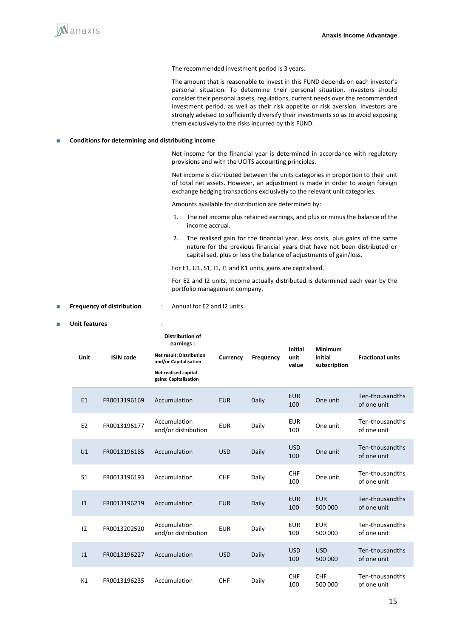

The recommended investment period is 3 years.

The amount that is reasonable to invest in this FUND depends on each investor's personal situation. To determine their personal situation, investors should consider their personal assets, regulations, current needs over the recommended investment period, as well as their risk appetite or risk aversion. Investors are strongly advised to sufficiently diversify their investments so as to avoid exposing them exclusively to the risks incurred by this FUND.

#### ■ **Conditions for determining and distributing income**:

Net income for the financial year is determined in accordance with regulatory provisions and with the UCITS accounting principles.

Net income is distributed between the units categories in proportion to their unit of total net assets. However, an adjustment is made in order to assign foreign exchange hedging transactions exclusively to the relevant unit categories.

Amounts available for distribution are determined by:

- 1. The net income plus retained earnings, and plus or minus the balance of the income accrual.
- 2. The realised gain for the financial year, less costs, plus gains of the same nature for the previous financial years that have not been distributed or capitalised, plus or less the balance of adjustments of gain/loss.
- For E1, U1, S1, I1, J1 and K1 units, gains are capitalised.

For E2 and I2 units, income actually distributed is determined each year by the portfolio management company.

#### **Frequency of distribution** : Annual for E2 and I2 units.

I2 FR0013202520 Accumulation

#### ■ **Unit features** : **Unit ISIN code Distribution of earnings : Net result: Distribution and/or Capitalisation Net realised capital gains: Capitalisation Currency Frequency Initial unit value Minimum initial subscription Fractional units** E1 FR0013196169 Accumulation EUR Daily EUR <sup>100</sup> One unit Ten-thousandths of one unit E2 FR0013196177 Accumulation Accumulation EUR Daily EUR<br>and/or distribution EUR Daily 100 <sup>100</sup> One unit Ten-thousandths of one unit U1 FR0013196185 Accumulation USD Daily USD One unit Ten-thousandths of one unit S1 FR0013196193 Accumulation CHF Daily CHF <sup>100</sup> One unit Ten-thousandths of one unit I1 FR0013196219 Accumulation EUR Daily EUR 100 EUR 500 000 Ten-thousandths of one unit

Accumulation EUR Daily EUR<br>and/or distribution EUR Daily 100

EUR 500 000

USD

100

Ten-thousandths of one unit

Ten-thousandths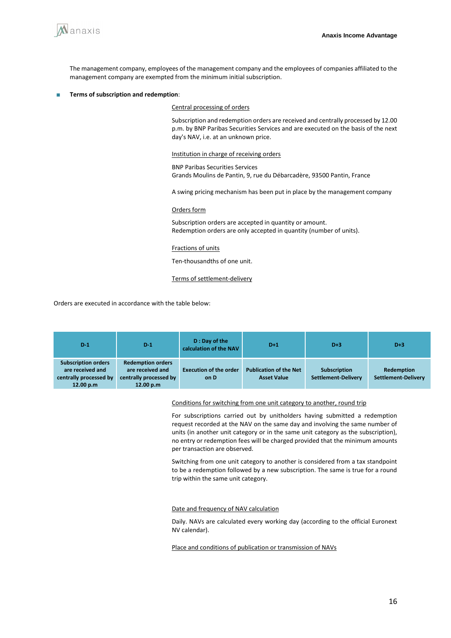

The management company, employees of the management company and the employees of companies affiliated to the management company are exempted from the minimum initial subscription.

#### ■ **Terms of subscription and redemption**:

Central processing of orders

Subscription and redemption orders are received and centrally processed by 12.00 p.m. by BNP Paribas Securities Services and are executed on the basis of the next day's NAV, i.e. at an unknown price.

Institution in charge of receiving orders

BNP Paribas Securities Services Grands Moulins de Pantin, 9, rue du Débarcadère, 93500 Pantin, France

A swing pricing mechanism has been put in place by the management company

#### Orders form

Subscription orders are accepted in quantity or amount. Redemption orders are only accepted in quantity (number of units).

#### Fractions of units

Ten-thousandths of one unit.

#### Terms of settlement-delivery

Orders are executed in accordance with the table below:

| $D-1$                                                                                 | $D-1$                                                                               | D: Day of the<br>calculation of the NAV | $D+1$                                               | $D+3$                                      | $D+3$                                           |
|---------------------------------------------------------------------------------------|-------------------------------------------------------------------------------------|-----------------------------------------|-----------------------------------------------------|--------------------------------------------|-------------------------------------------------|
| <b>Subscription orders</b><br>are received and<br>centrally processed by<br>12.00 p.m | <b>Redemption orders</b><br>are received and<br>centrally processed by<br>12.00 p.m | <b>Execution of the order</b><br>on D   | <b>Publication of the Net</b><br><b>Asset Value</b> | <b>Subscription</b><br>Settlement-Delivery | <b>Redemption</b><br><b>Settlement-Delivery</b> |

Conditions for switching from one unit category to another, round trip

For subscriptions carried out by unitholders having submitted a redemption request recorded at the NAV on the same day and involving the same number of units (in another unit category or in the same unit category as the subscription), no entry or redemption fees will be charged provided that the minimum amounts per transaction are observed.

Switching from one unit category to another is considered from a tax standpoint to be a redemption followed by a new subscription. The same is true for a round trip within the same unit category.

#### Date and frequency of NAV calculation

Daily. NAVs are calculated every working day (according to the official Euronext NV calendar).

Place and conditions of publication or transmission of NAVs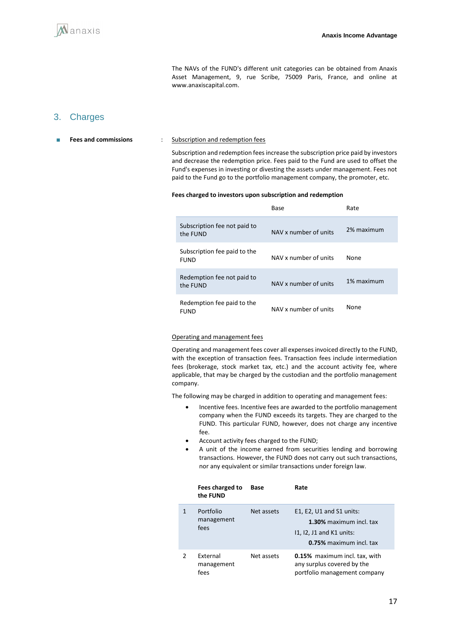

The NAVs of the FUND's different unit categories can be obtained from Anaxis Asset Management, 9, rue Scribe, 75009 Paris, France, and online at www.anaxiscapital.com.

### 3. Charges

■ **Fees and commissions** : Subscription and redemption fees

Subscription and redemption fees increase the subscription price paid by investors and decrease the redemption price. Fees paid to the Fund are used to offset the Fund's expenses in investing or divesting the assets under management. Fees not paid to the Fund go to the portfolio management company, the promoter, etc.

#### **Fees charged to investors upon subscription and redemption**

|                                             | Base                  | Rate       |
|---------------------------------------------|-----------------------|------------|
| Subscription fee not paid to<br>the FUND    | NAV x number of units | 2% maximum |
| Subscription fee paid to the<br><b>FUND</b> | NAV x number of units | None       |
| Redemption fee not paid to<br>the FUND      | NAV x number of units | 1% maximum |
| Redemption fee paid to the<br><b>FUND</b>   | NAV x number of units | None       |

#### Operating and management fees

Operating and management fees cover all expenses invoiced directly to the FUND, with the exception of transaction fees. Transaction fees include intermediation fees (brokerage, stock market tax, etc.) and the account activity fee, where applicable, that may be charged by the custodian and the portfolio management company.

The following may be charged in addition to operating and management fees:

- Incentive fees. Incentive fees are awarded to the portfolio management company when the FUND exceeds its targets. They are charged to the FUND. This particular FUND, however, does not charge any incentive fee.
- Account activity fees charged to the FUND;
- A unit of the income earned from securities lending and borrowing transactions. However, the FUND does not carry out such transactions, nor any equivalent or similar transactions under foreign law.

|   | Fees charged to<br>the FUND     | Base       | Rate                                                                                                         |
|---|---------------------------------|------------|--------------------------------------------------------------------------------------------------------------|
|   | Portfolio<br>management<br>fees | Net assets | E1, E2, U1 and S1 units:<br>1.30% maximum incl. tax<br>$11, 12, 11$ and K1 units:<br>0.75% maximum incl. tax |
| 2 | External<br>management<br>fees  | Net assets | <b>0.15%</b> maximum incl. tax, with<br>any surplus covered by the<br>portfolio management company           |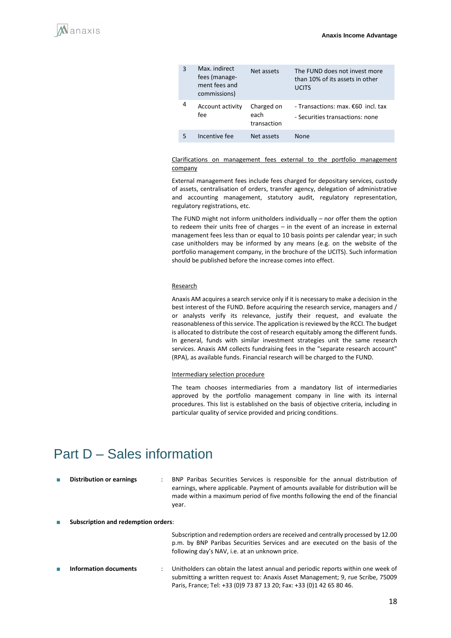| 3 | Max. indirect<br>fees (manage-<br>ment fees and<br>commissions) | Net assets                        | The FUND does not invest more<br>than 10% of its assets in other<br><b>UCITS</b> |
|---|-----------------------------------------------------------------|-----------------------------------|----------------------------------------------------------------------------------|
| 4 | Account activity<br>fee                                         | Charged on<br>each<br>transaction | - Transactions: max. $\epsilon$ 60 incl. tax<br>- Securities transactions: none  |
| 5 | Incentive fee                                                   | Net assets                        | <b>None</b>                                                                      |

#### Clarifications on management fees external to the portfolio management company

External management fees include fees charged for depositary services, custody of assets, centralisation of orders, transfer agency, delegation of administrative and accounting management, statutory audit, regulatory representation, regulatory registrations, etc.

The FUND might not inform unitholders individually – nor offer them the option to redeem their units free of charges – in the event of an increase in external management fees less than or equal to 10 basis points per calendar year; in such case unitholders may be informed by any means (e.g. on the website of the portfolio management company, in the brochure of the UCITS). Such information should be published before the increase comes into effect.

#### **Research**

Anaxis AM acquires a search service only if it is necessary to make a decision in the best interest of the FUND. Before acquiring the research service, managers and / or analysts verify its relevance, justify their request, and evaluate the reasonableness of this service. The application is reviewed by the RCCI. The budget is allocated to distribute the cost of research equitably among the different funds. In general, funds with similar investment strategies unit the same research services. Anaxis AM collects fundraising fees in the "separate research account" (RPA), as available funds. Financial research will be charged to the FUND.

#### Intermediary selection procedure

The team chooses intermediaries from a mandatory list of intermediaries approved by the portfolio management company in line with its internal procedures. This list is established on the basis of objective criteria, including in particular quality of service provided and pricing conditions.

## <span id="page-17-0"></span>Part D – Sales information

| <b>Distribution or earnings</b>            | $\ddot{\phantom{0}}$ | BNP Paribas Securities Services is responsible for the annual distribution of<br>earnings, where applicable. Payment of amounts available for distribution will be<br>made within a maximum period of five months following the end of the financial<br>year. |
|--------------------------------------------|----------------------|---------------------------------------------------------------------------------------------------------------------------------------------------------------------------------------------------------------------------------------------------------------|
| <b>Subscription and redemption orders:</b> |                      | Subscription and redemption orders are received and centrally processed by 12.00<br>p.m. by BNP Paribas Securities Services and are executed on the basis of the<br>following day's NAV, i.e. at an unknown price.                                            |
| Information documents                      | $\ddot{\phantom{0}}$ | Unitholders can obtain the latest annual and periodic reports within one week of<br>submitting a written request to: Anaxis Asset Management; 9, rue Scribe, 75009<br>Paris, France; Tel: +33 (0)9 73 87 13 20; Fax: +33 (0)1 42 65 80 46.                    |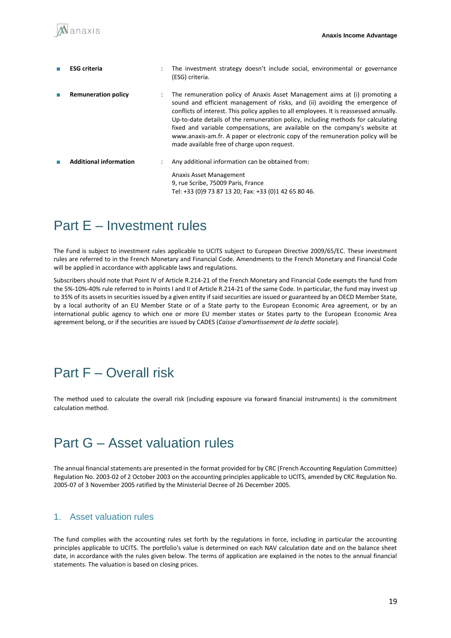| <b>ESG</b> criteria           | $\ddot{\phantom{a}}$ | The investment strategy doesn't include social, environmental or governance<br>(ESG) criteria.                                                                                                                                                                                                                                                                                                                                                                                                                                                            |
|-------------------------------|----------------------|-----------------------------------------------------------------------------------------------------------------------------------------------------------------------------------------------------------------------------------------------------------------------------------------------------------------------------------------------------------------------------------------------------------------------------------------------------------------------------------------------------------------------------------------------------------|
| <b>Remuneration policy</b>    | $\ddot{\phantom{a}}$ | The remuneration policy of Anaxis Asset Management aims at (i) promoting a<br>sound and efficient management of risks, and (ii) avoiding the emergence of<br>conflicts of interest. This policy applies to all employees. It is reassessed annually.<br>Up-to-date details of the remuneration policy, including methods for calculating<br>fixed and variable compensations, are available on the company's website at<br>www.anaxis-am.fr. A paper or electronic copy of the remuneration policy will be<br>made available free of charge upon request. |
| <b>Additional information</b> | $\ddot{\phantom{a}}$ | Any additional information can be obtained from:<br>Anaxis Asset Management<br>9, rue Scribe, 75009 Paris, France<br>Tel: +33 (0)9 73 87 13 20; Fax: +33 (0)1 42 65 80 46.                                                                                                                                                                                                                                                                                                                                                                                |

## <span id="page-18-0"></span>Part E – Investment rules

The Fund is subject to investment rules applicable to UCITS subject to European Directive 2009/65/EC. These investment rules are referred to in the French Monetary and Financial Code. Amendments to the French Monetary and Financial Code will be applied in accordance with applicable laws and regulations.

Subscribers should note that Point IV of Article R.214-21 of the French Monetary and Financial Code exempts the fund from the 5%-10%-40% rule referred to in Points I and II of Article R.214-21 of the same Code. In particular, the fund may invest up to 35% of its assets in securities issued by a given entity if said securities are issued or guaranteed by an OECD Member State, by a local authority of an EU Member State or of a State party to the European Economic Area agreement, or by an international public agency to which one or more EU member states or States party to the European Economic Area agreement belong, or if the securities are issued by CADES (*Caisse d'amortissement de la dette sociale*).

## <span id="page-18-1"></span>Part F – Overall risk

The method used to calculate the overall risk (including exposure via forward financial instruments) is the commitment calculation method.

## <span id="page-18-2"></span>Part G – Asset valuation rules

The annual financial statements are presented in the format provided for by CRC (French Accounting Regulation Committee) Regulation No. 2003-02 of 2 October 2003 on the accounting principles applicable to UCITS, amended by CRC Regulation No. 2005-07 of 3 November 2005 ratified by the Ministerial Decree of 26 December 2005.

### 1. Asset valuation rules

The fund complies with the accounting rules set forth by the regulations in force, including in particular the accounting principles applicable to UCITS. The portfolio's value is determined on each NAV calculation date and on the balance sheet date, in accordance with the rules given below. The terms of application are explained in the notes to the annual financial statements. The valuation is based on closing prices.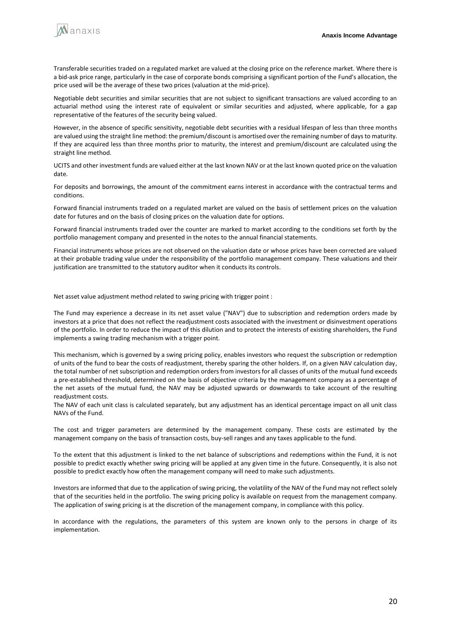

Transferable securities traded on a regulated market are valued at the closing price on the reference market. Where there is a bid-ask price range, particularly in the case of corporate bonds comprising a significant portion of the Fund's allocation, the price used will be the average of these two prices (valuation at the mid-price).

Negotiable debt securities and similar securities that are not subject to significant transactions are valued according to an actuarial method using the interest rate of equivalent or similar securities and adjusted, where applicable, for a gap representative of the features of the security being valued.

However, in the absence of specific sensitivity, negotiable debt securities with a residual lifespan of less than three months are valued using the straight line method: the premium/discount is amortised over the remaining number of days to maturity. If they are acquired less than three months prior to maturity, the interest and premium/discount are calculated using the straight line method.

UCITS and other investment funds are valued either at the last known NAV or at the last known quoted price on the valuation date.

For deposits and borrowings, the amount of the commitment earns interest in accordance with the contractual terms and conditions.

Forward financial instruments traded on a regulated market are valued on the basis of settlement prices on the valuation date for futures and on the basis of closing prices on the valuation date for options.

Forward financial instruments traded over the counter are marked to market according to the conditions set forth by the portfolio management company and presented in the notes to the annual financial statements.

Financial instruments whose prices are not observed on the valuation date or whose prices have been corrected are valued at their probable trading value under the responsibility of the portfolio management company. These valuations and their justification are transmitted to the statutory auditor when it conducts its controls.

Net asset value adjustment method related to swing pricing with trigger point :

The Fund may experience a decrease in its net asset value ("NAV") due to subscription and redemption orders made by investors at a price that does not reflect the readjustment costs associated with the investment or disinvestment operations of the portfolio. In order to reduce the impact of this dilution and to protect the interests of existing shareholders, the Fund implements a swing trading mechanism with a trigger point.

This mechanism, which is governed by a swing pricing policy, enables investors who request the subscription or redemption of units of the fund to bear the costs of readjustment, thereby sparing the other holders. If, on a given NAV calculation day, the total number of net subscription and redemption orders from investors for all classes of units of the mutual fund exceeds a pre-established threshold, determined on the basis of objective criteria by the management company as a percentage of the net assets of the mutual fund, the NAV may be adjusted upwards or downwards to take account of the resulting readjustment costs.

The NAV of each unit class is calculated separately, but any adjustment has an identical percentage impact on all unit class NAVs of the Fund.

The cost and trigger parameters are determined by the management company. These costs are estimated by the management company on the basis of transaction costs, buy-sell ranges and any taxes applicable to the fund.

To the extent that this adjustment is linked to the net balance of subscriptions and redemptions within the Fund, it is not possible to predict exactly whether swing pricing will be applied at any given time in the future. Consequently, it is also not possible to predict exactly how often the management company will need to make such adjustments.

Investors are informed that due to the application of swing pricing, the volatility of the NAV of the Fund may not reflect solely that of the securities held in the portfolio. The swing pricing policy is available on request from the management company. The application of swing pricing is at the discretion of the management company, in compliance with this policy.

In accordance with the regulations, the parameters of this system are known only to the persons in charge of its implementation.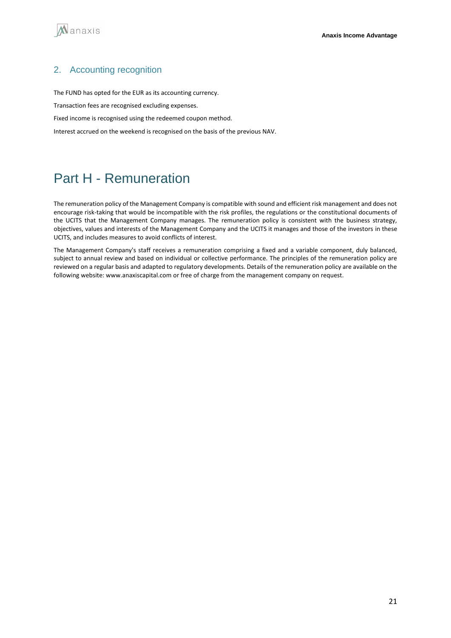

### 2. Accounting recognition

The FUND has opted for the EUR as its accounting currency.

Transaction fees are recognised excluding expenses.

Fixed income is recognised using the redeemed coupon method.

Interest accrued on the weekend is recognised on the basis of the previous NAV.

## Part H - Remuneration

The remuneration policy of the Management Company is compatible with sound and efficient risk management and does not encourage risk-taking that would be incompatible with the risk profiles, the regulations or the constitutional documents of the UCITS that the Management Company manages. The remuneration policy is consistent with the business strategy, objectives, values and interests of the Management Company and the UCITS it manages and those of the investors in these UCITS, and includes measures to avoid conflicts of interest.

The Management Company's staff receives a remuneration comprising a fixed and a variable component, duly balanced, subject to annual review and based on individual or collective performance. The principles of the remuneration policy are reviewed on a regular basis and adapted to regulatory developments. Details of the remuneration policy are available on the following website: www.anaxiscapital.com or free of charge from the management company on request.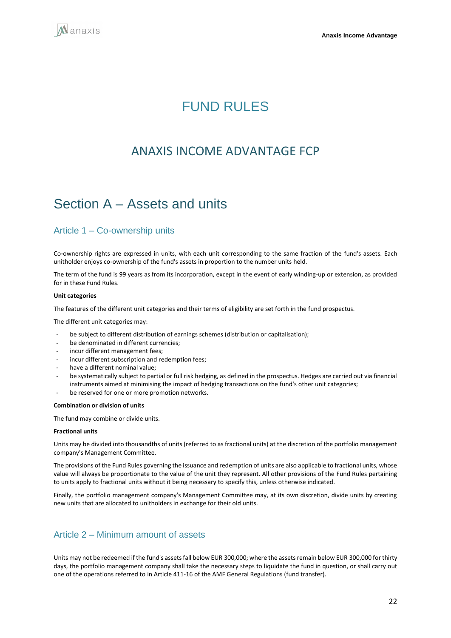<span id="page-21-0"></span>

## **FUND RULES**

## ANAXIS INCOME ADVANTAGE FCP

## <span id="page-21-1"></span>Section A – Assets and units

### Article 1 – Co-ownership units

Co-ownership rights are expressed in units, with each unit corresponding to the same fraction of the fund's assets. Each unitholder enjoys co-ownership of the fund's assets in proportion to the number units held.

The term of the fund is 99 years as from its incorporation, except in the event of early winding-up or extension, as provided for in these Fund Rules.

#### **Unit categories**

The features of the different unit categories and their terms of eligibility are set forth in the fund prospectus.

The different unit categories may:

- be subject to different distribution of earnings schemes (distribution or capitalisation);
- be denominated in different currencies:
- incur different management fees;
- incur different subscription and redemption fees;
- have a different nominal value;
- be systematically subject to partial or full risk hedging, as defined in the prospectus. Hedges are carried out via financial instruments aimed at minimising the impact of hedging transactions on the fund's other unit categories;
- be reserved for one or more promotion networks.

#### **Combination or division of units**

The fund may combine or divide units.

#### **Fractional units**

Units may be divided into thousandths of units (referred to as fractional units) at the discretion of the portfolio management company's Management Committee.

The provisions of the Fund Rules governing the issuance and redemption of units are also applicable to fractional units, whose value will always be proportionate to the value of the unit they represent. All other provisions of the Fund Rules pertaining to units apply to fractional units without it being necessary to specify this, unless otherwise indicated.

Finally, the portfolio management company's Management Committee may, at its own discretion, divide units by creating new units that are allocated to unitholders in exchange for their old units.

### Article 2 – Minimum amount of assets

Units may not be redeemed if the fund's assets fall below EUR 300,000; where the assets remain below EUR 300,000 for thirty days, the portfolio management company shall take the necessary steps to liquidate the fund in question, or shall carry out one of the operations referred to in Article 411-16 of the AMF General Regulations (fund transfer).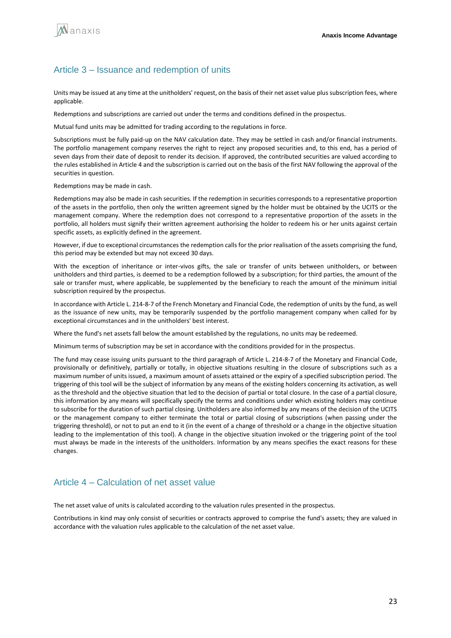

### Article 3 – Issuance and redemption of units

Units may be issued at any time at the unitholders' request, on the basis of their net asset value plus subscription fees, where applicable.

Redemptions and subscriptions are carried out under the terms and conditions defined in the prospectus.

Mutual fund units may be admitted for trading according to the regulations in force.

Subscriptions must be fully paid-up on the NAV calculation date. They may be settled in cash and/or financial instruments. The portfolio management company reserves the right to reject any proposed securities and, to this end, has a period of seven days from their date of deposit to render its decision. If approved, the contributed securities are valued according to the rules established in Article 4 and the subscription is carried out on the basis of the first NAV following the approval of the securities in question.

Redemptions may be made in cash.

Redemptions may also be made in cash securities. If the redemption in securities corresponds to a representative proportion of the assets in the portfolio, then only the written agreement signed by the holder must be obtained by the UCITS or the management company. Where the redemption does not correspond to a representative proportion of the assets in the portfolio, all holders must signify their written agreement authorising the holder to redeem his or her units against certain specific assets, as explicitly defined in the agreement.

However, if due to exceptional circumstances the redemption calls for the prior realisation of the assets comprising the fund, this period may be extended but may not exceed 30 days.

With the exception of inheritance or inter-vivos gifts, the sale or transfer of units between unitholders, or between unitholders and third parties, is deemed to be a redemption followed by a subscription; for third parties, the amount of the sale or transfer must, where applicable, be supplemented by the beneficiary to reach the amount of the minimum initial subscription required by the prospectus.

In accordance with Article L. 214-8-7 of the French Monetary and Financial Code, the redemption of units by the fund, as well as the issuance of new units, may be temporarily suspended by the portfolio management company when called for by exceptional circumstances and in the unitholders' best interest.

Where the fund's net assets fall below the amount established by the regulations, no units may be redeemed.

Minimum terms of subscription may be set in accordance with the conditions provided for in the prospectus.

The fund may cease issuing units pursuant to the third paragraph of Article L. 214-8-7 of the Monetary and Financial Code, provisionally or definitively, partially or totally, in objective situations resulting in the closure of subscriptions such as a maximum number of units issued, a maximum amount of assets attained or the expiry of a specified subscription period. The triggering of this tool will be the subject of information by any means of the existing holders concerning its activation, as well as the threshold and the objective situation that led to the decision of partial or total closure. In the case of a partial closure, this information by any means will specifically specify the terms and conditions under which existing holders may continue to subscribe for the duration of such partial closing. Unitholders are also informed by any means of the decision of the UCITS or the management company to either terminate the total or partial closing of subscriptions (when passing under the triggering threshold), or not to put an end to it (in the event of a change of threshold or a change in the objective situation leading to the implementation of this tool). A change in the objective situation invoked or the triggering point of the tool must always be made in the interests of the unitholders. Information by any means specifies the exact reasons for these changes.

### Article 4 – Calculation of net asset value

The net asset value of units is calculated according to the valuation rules presented in the prospectus.

Contributions in kind may only consist of securities or contracts approved to comprise the fund's assets; they are valued in accordance with the valuation rules applicable to the calculation of the net asset value.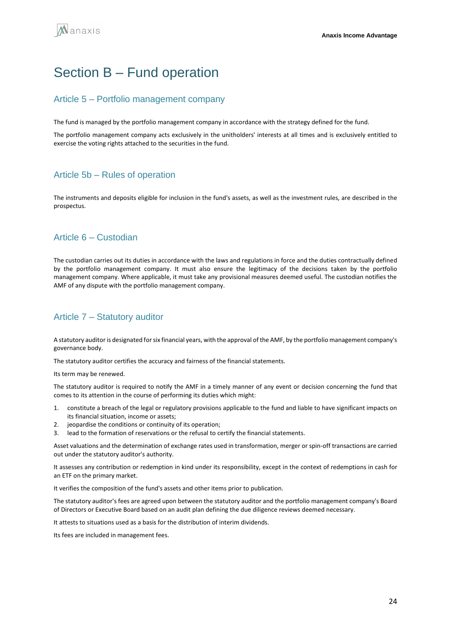## <span id="page-23-0"></span>Section B – Fund operation

### Article 5 – Portfolio management company

The fund is managed by the portfolio management company in accordance with the strategy defined for the fund.

The portfolio management company acts exclusively in the unitholders' interests at all times and is exclusively entitled to exercise the voting rights attached to the securities in the fund.

## Article 5b – Rules of operation

The instruments and deposits eligible for inclusion in the fund's assets, as well as the investment rules, are described in the prospectus.

## Article 6 – Custodian

The custodian carries out its duties in accordance with the laws and regulations in force and the duties contractually defined by the portfolio management company. It must also ensure the legitimacy of the decisions taken by the portfolio management company. Where applicable, it must take any provisional measures deemed useful. The custodian notifies the AMF of any dispute with the portfolio management company.

## Article 7 – Statutory auditor

A statutory auditor is designated for six financial years, with the approval of the AMF, by the portfolio management company's governance body.

The statutory auditor certifies the accuracy and fairness of the financial statements.

Its term may be renewed.

The statutory auditor is required to notify the AMF in a timely manner of any event or decision concerning the fund that comes to its attention in the course of performing its duties which might:

- 1. constitute a breach of the legal or regulatory provisions applicable to the fund and liable to have significant impacts on its financial situation, income or assets;
- 2. jeopardise the conditions or continuity of its operation;
- 3. lead to the formation of reservations or the refusal to certify the financial statements.

Asset valuations and the determination of exchange rates used in transformation, merger or spin-off transactions are carried out under the statutory auditor's authority.

It assesses any contribution or redemption in kind under its responsibility, except in the context of redemptions in cash for an ETF on the primary market.

It verifies the composition of the fund's assets and other items prior to publication.

The statutory auditor's fees are agreed upon between the statutory auditor and the portfolio management company's Board of Directors or Executive Board based on an audit plan defining the due diligence reviews deemed necessary.

It attests to situations used as a basis for the distribution of interim dividends.

Its fees are included in management fees.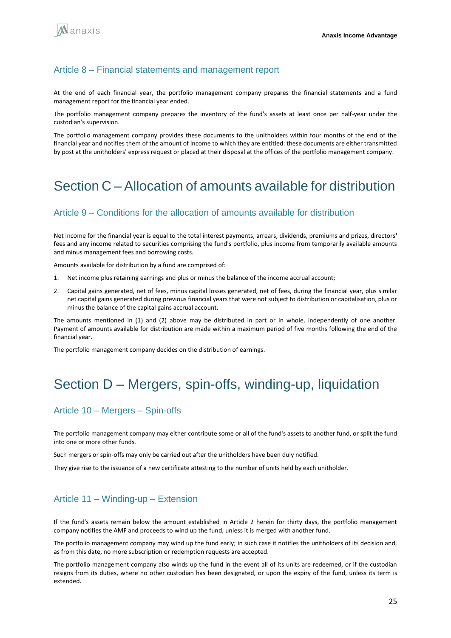### Article 8 – Financial statements and management report

At the end of each financial year, the portfolio management company prepares the financial statements and a fund management report for the financial year ended.

The portfolio management company prepares the inventory of the fund's assets at least once per half-year under the custodian's supervision.

The portfolio management company provides these documents to the unitholders within four months of the end of the financial year and notifies them of the amount of income to which they are entitled: these documents are either transmitted by post at the unitholders' express request or placed at their disposal at the offices of the portfolio management company.

## <span id="page-24-0"></span>Section C – Allocation of amounts available for distribution

### Article 9 – Conditions for the allocation of amounts available for distribution

Net income for the financial year is equal to the total interest payments, arrears, dividends, premiums and prizes, directors' fees and any income related to securities comprising the fund's portfolio, plus income from temporarily available amounts and minus management fees and borrowing costs.

Amounts available for distribution by a fund are comprised of:

- 1. Net income plus retaining earnings and plus or minus the balance of the income accrual account;
- 2. Capital gains generated, net of fees, minus capital losses generated, net of fees, during the financial year, plus similar net capital gains generated during previous financial years that were not subject to distribution or capitalisation, plus or minus the balance of the capital gains accrual account.

The amounts mentioned in (1) and (2) above may be distributed in part or in whole, independently of one another. Payment of amounts available for distribution are made within a maximum period of five months following the end of the financial year.

The portfolio management company decides on the distribution of earnings.

## <span id="page-24-1"></span>Section D – Mergers, spin-offs, winding-up, liquidation

### Article 10 – Mergers – Spin-offs

The portfolio management company may either contribute some or all of the fund's assets to another fund, or split the fund into one or more other funds.

Such mergers or spin-offs may only be carried out after the unitholders have been duly notified.

They give rise to the issuance of a new certificate attesting to the number of units held by each unitholder.

### Article 11 – Winding-up – Extension

If the fund's assets remain below the amount established in Article 2 herein for thirty days, the portfolio management company notifies the AMF and proceeds to wind up the fund, unless it is merged with another fund.

The portfolio management company may wind up the fund early; in such case it notifies the unitholders of its decision and, as from this date, no more subscription or redemption requests are accepted.

The portfolio management company also winds up the fund in the event all of its units are redeemed, or if the custodian resigns from its duties, where no other custodian has been designated, or upon the expiry of the fund, unless its term is extended.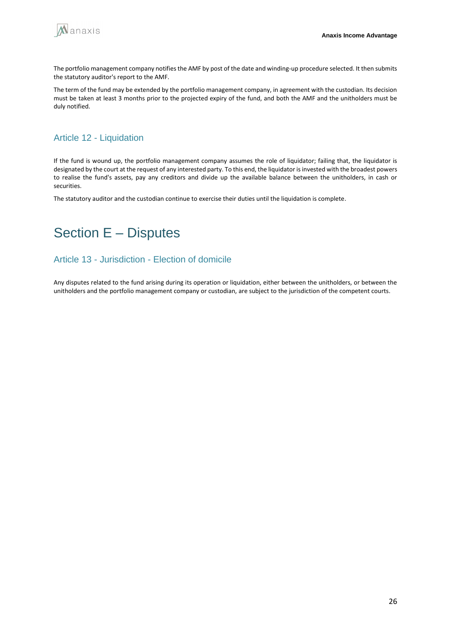

The portfolio management company notifies the AMF by post of the date and winding-up procedure selected. It then submits the statutory auditor's report to the AMF.

The term of the fund may be extended by the portfolio management company, in agreement with the custodian. Its decision must be taken at least 3 months prior to the projected expiry of the fund, and both the AMF and the unitholders must be duly notified.

## Article 12 - Liquidation

If the fund is wound up, the portfolio management company assumes the role of liquidator; failing that, the liquidator is designated by the court at the request of any interested party. To this end, the liquidator is invested with the broadest powers to realise the fund's assets, pay any creditors and divide up the available balance between the unitholders, in cash or securities.

The statutory auditor and the custodian continue to exercise their duties until the liquidation is complete.

## <span id="page-25-0"></span>Section E – Disputes

## Article 13 - Jurisdiction - Election of domicile

Any disputes related to the fund arising during its operation or liquidation, either between the unitholders, or between the unitholders and the portfolio management company or custodian, are subject to the jurisdiction of the competent courts.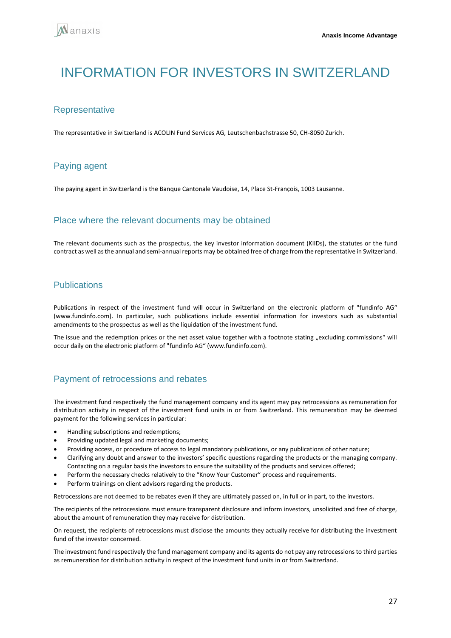## <span id="page-26-0"></span>INFORMATION FOR INVESTORS IN SWITZERI AND

### **Representative**

The representative in Switzerland is ACOLIN Fund Services AG, Leutschenbachstrasse 50, CH-8050 Zurich.

## Paying agent

The paying agent in Switzerland is the Banque Cantonale Vaudoise, 14, Place St-François, 1003 Lausanne.

### Place where the relevant documents may be obtained

The relevant documents such as the prospectus, the key investor information document (KIIDs), the statutes or the fund contract as well as the annual and semi-annual reports may be obtained free of charge from the representative in Switzerland.

### **Publications**

Publications in respect of the investment fund will occur in Switzerland on the electronic platform of "fundinfo AG" (www.fundinfo.com). In particular, such publications include essential information for investors such as substantial amendments to the prospectus as well as the liquidation of the investment fund.

The issue and the redemption prices or the net asset value together with a footnote stating "excluding commissions" will occur daily on the electronic platform of "fundinfo AG" (www.fundinfo.com).

### Payment of retrocessions and rebates

The investment fund respectively the fund management company and its agent may pay retrocessions as remuneration for distribution activity in respect of the investment fund units in or from Switzerland. This remuneration may be deemed payment for the following services in particular:

- Handling subscriptions and redemptions;
- Providing updated legal and marketing documents;
- Providing access, or procedure of access to legal mandatory publications, or any publications of other nature;
- Clarifying any doubt and answer to the investors' specific questions regarding the products or the managing company. Contacting on a regular basis the investors to ensure the suitability of the products and services offered;
- Perform the necessary checks relatively to the "Know Your Customer" process and requirements.
- Perform trainings on client advisors regarding the products.

Retrocessions are not deemed to be rebates even if they are ultimately passed on, in full or in part, to the investors.

The recipients of the retrocessions must ensure transparent disclosure and inform investors, unsolicited and free of charge, about the amount of remuneration they may receive for distribution.

On request, the recipients of retrocessions must disclose the amounts they actually receive for distributing the investment fund of the investor concerned.

The investment fund respectively the fund management company and its agents do not pay any retrocessions to third parties as remuneration for distribution activity in respect of the investment fund units in or from Switzerland.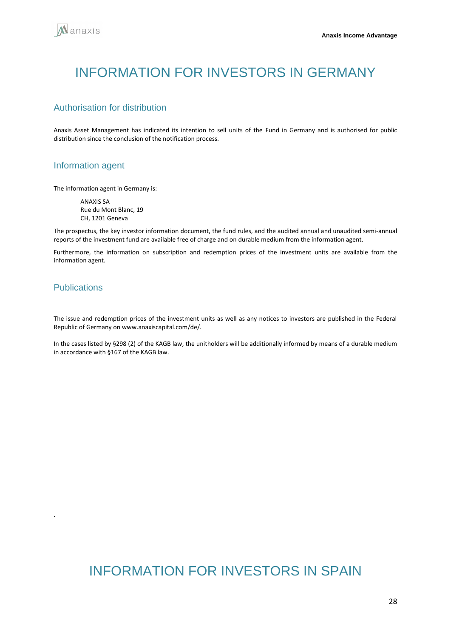## <span id="page-27-0"></span>INFORMATION FOR INVESTORS IN GERMANY

### Authorisation for distribution

Anaxis Asset Management has indicated its intention to sell units of the Fund in Germany and is authorised for public distribution since the conclusion of the notification process.

### Information agent

The information agent in Germany is:

ANAXIS SA Rue du Mont Blanc, 19 CH, 1201 Geneva

The prospectus, the key investor information document, the fund rules, and the audited annual and unaudited semi-annual reports of the investment fund are available free of charge and on durable medium from the information agent.

Furthermore, the information on subscription and redemption prices of the investment units are available from the information agent.

### Publications

<span id="page-27-1"></span>.

The issue and redemption prices of the investment units as well as any notices to investors are published in the Federal Republic of Germany on www.anaxiscapital.com/de/.

In the cases listed by §298 (2) of the KAGB law, the unitholders will be additionally informed by means of a durable medium in accordance with §167 of the KAGB law.

## INFORMATION FOR INVESTORS IN SPAIN